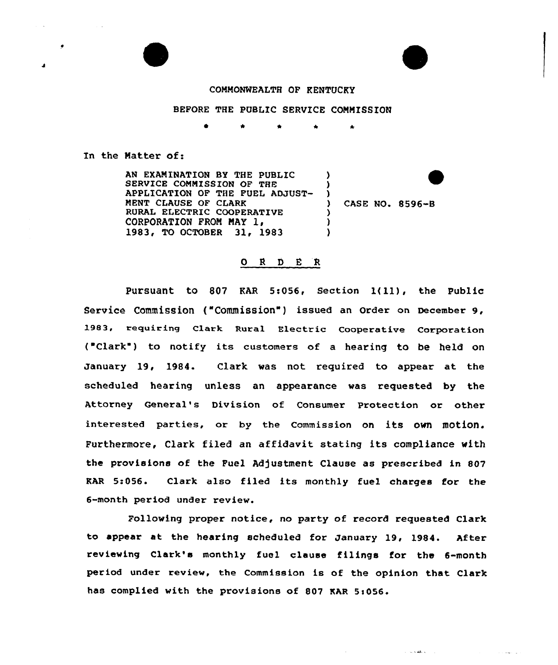



## COMMONWEALTH OF KENTUCKY

## BEFORE THE PUBLIC SERVICE CONNISSION

 $\lambda$ ) )<br>)

> ) ) )

0 \* \*

In the Natter of:

AN EXAMINATION BY THE PUBLIC SERVICE COMMISSION OF THE APPLICATION OF THE FUEL ADJUST-NENT CLAUSE OF CIARK RURAL ELECTRIC COOPERATIVE<br>CORPORATION FROM MAY 1, 1983, TO OCTOBER 31, 1983

) CASE NO. 8596-8

 $\mathcal{L}^{\pm}$  and  $\mathcal{L}^{\pm}$  and  $\mathcal{L}^{\pm}$  and  $\mathcal{L}^{\pm}$ 

## 0 <sup>R</sup> <sup>D</sup> E R

Pursuant to <sup>807</sup> KAR 5:056, Section l(ll), the Public Service Commission ("Commission") issued an Order on December 9, 1983, requiring Clark Rural Electric Cooperative Corporation ("Clark") to notify its customers of a hearing to be held on January 19, 1984. Clark was not required to appear at the scheduled hearing unless an appearance was requested by the Attorney General's Division of Consumer protection or other interested parties, or by the Commission on its own motion. Furthermore, Clark filed an affidavit stating its compliance with the provisions of the Fuel Adjustment Clause as prescribed in 807 EAR 5:056. Clark also filed its monthly fuel charges for the 6-month period under review.

Following proper notice, no party of record requested Clark to appear at the bearing scheduled for January 19, l984. After reviewing Clark's monthly fuel clause filings for the 6-month period under review, the Commission is of the opinion that Clark has complied with the provisions of 807 KAR 5:056.